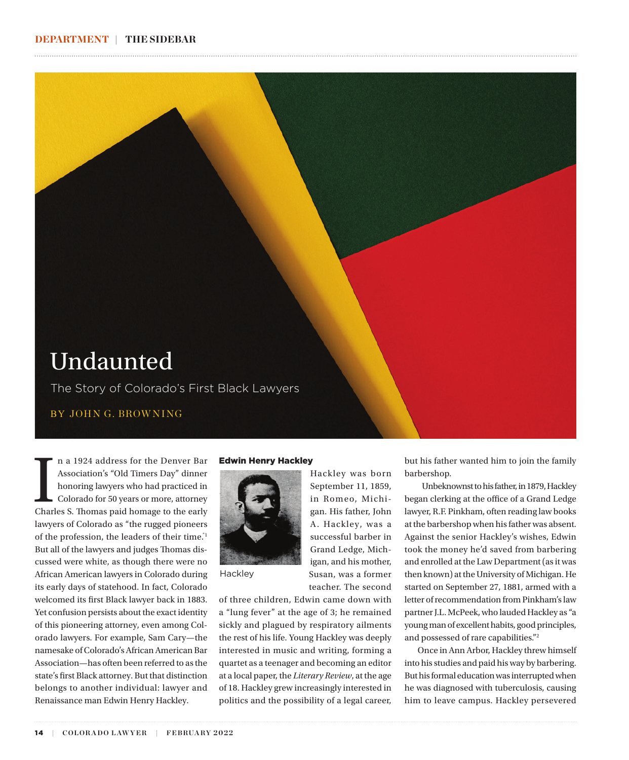

In a 1924 address for the Denver Bar<br>Association's "Old Timers Day" dinner<br>honoring lawyers who had practiced in<br>Colorado for 50 years or more, attorney<br>Charles S. Thomas paid homage to the early n a 1924 address for the Denver Bar Association's "Old Timers Day" dinner honoring lawyers who had practiced in Colorado for 50 years or more, attorney lawyers of Colorado as "the rugged pioneers of the profession, the leaders of their time."1 But all of the lawyers and judges Thomas discussed were white, as though there were no African American lawyers in Colorado during its early days of statehood. In fact, Colorado welcomed its first Black lawyer back in 1883. Yet confusion persists about the exact identity of this pioneering attorney, even among Colorado lawyers. For example, Sam Cary—the namesake of Colorado's African American Bar Association—has often been referred to as the state's first Black attorney. But that distinction belongs to another individual: lawyer and Renaissance man Edwin Henry Hackley.

## Edwin Henry Hackley



**Hackley** 

of three children, Edwin came down with a "lung fever" at the age of 3; he remained sickly and plagued by respiratory ailments the rest of his life. Young Hackley was deeply interested in music and writing, forming a quartet as a teenager and becoming an editor at a local paper, the *Literary Review*, at the age of 18. Hackley grew increasingly interested in politics and the possibility of a legal career,

Hackley was born September 11, 1859, in Romeo, Michigan. His father, John A. Hackley, was a successful barber in Grand Ledge, Michigan, and his mother, Susan, was a former teacher. The second but his father wanted him to join the family barbershop.

Unbeknownst to his father, in 1879, Hackley began clerking at the office of a Grand Ledge lawyer, R.F. Pinkham, often reading law books at the barbershop when his father was absent. Against the senior Hackley's wishes, Edwin took the money he'd saved from barbering and enrolled at the Law Department (as it was then known) at the University of Michigan. He started on September 27, 1881, armed with a letter of recommendation from Pinkham's law partner J.L. McPeek, who lauded Hackley as "a young man of excellent habits, good principles, and possessed of rare capabilities."2

Once in Ann Arbor, Hackley threw himself into his studies and paid his way by barbering. But his formal education was interrupted when he was diagnosed with tuberculosis, causing him to leave campus. Hackley persevered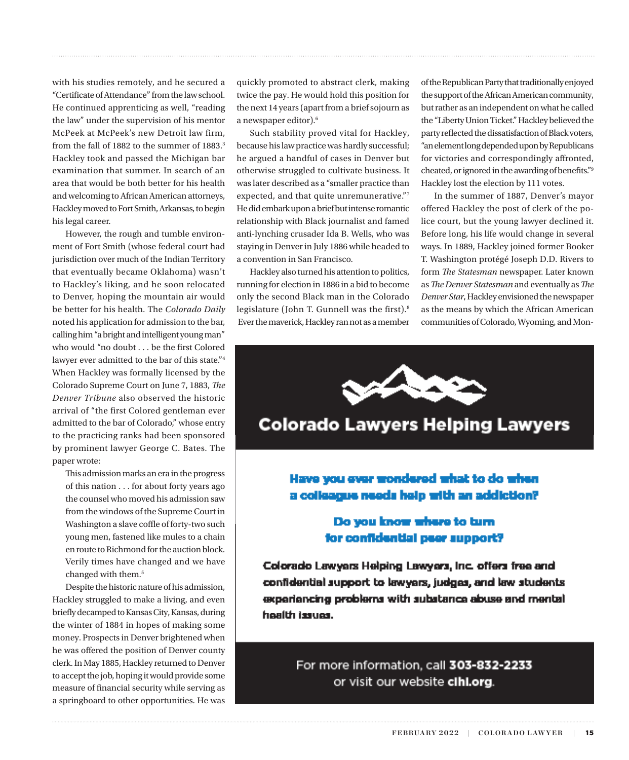with his studies remotely, and he secured a "Certificate of Attendance" from the law school. He continued apprenticing as well, "reading the law" under the supervision of his mentor McPeek at McPeek's new Detroit law firm, from the fall of 1882 to the summer of 1883.<sup>3</sup> Hackley took and passed the Michigan bar examination that summer. In search of an area that would be both better for his health and welcoming to African American attorneys, Hackley moved to Fort Smith, Arkansas, to begin his legal career.

However, the rough and tumble environment of Fort Smith (whose federal court had jurisdiction over much of the Indian Territory that eventually became Oklahoma) wasn't to Hackley's liking, and he soon relocated to Denver, hoping the mountain air would be better for his health. The *Colorado Daily* noted his application for admission to the bar, calling him "a bright and intelligent young man" who would "no doubt . . . be the first Colored lawyer ever admitted to the bar of this state."4 When Hackley was formally licensed by the Colorado Supreme Court on June 7, 1883, *The Denver Tribune* also observed the historic arrival of "the first Colored gentleman ever admitted to the bar of Colorado," whose entry to the practicing ranks had been sponsored by prominent lawyer George C. Bates. The paper wrote:

This admission marks an era in the progress of this nation . . . for about forty years ago the counsel who moved his admission saw from the windows of the Supreme Court in Washington a slave coffle of forty-two such young men, fastened like mules to a chain en route to Richmond for the auction block. Verily times have changed and we have changed with them.<sup>5</sup>

Despite the historic nature of his admission, Hackley struggled to make a living, and even briefly decamped to Kansas City, Kansas, during the winter of 1884 in hopes of making some money. Prospects in Denver brightened when he was offered the position of Denver county clerk. In May 1885, Hackley returned to Denver to accept the job, hoping it would provide some measure of financial security while serving as a springboard to other opportunities. He was

quickly promoted to abstract clerk, making twice the pay. He would hold this position for the next 14 years (apart from a brief sojourn as a newspaper editor).<sup>6</sup>

Such stability proved vital for Hackley, because his law practice was hardly successful; he argued a handful of cases in Denver but otherwise struggled to cultivate business. It was later described as a "smaller practice than expected, and that quite unremunerative."7 He did embark upon a brief but intense romantic relationship with Black journalist and famed anti-lynching crusader Ida B. Wells, who was staying in Denver in July 1886 while headed to a convention in San Francisco.

Hackley also turned his attention to politics, running for election in 1886 in a bid to become only the second Black man in the Colorado legislature (John T. Gunnell was the first).8 Ever the maverick, Hackley ran not as a member of the Republican Party that traditionally enjoyed the support of the African American community, but rather as an independent on what he called the "Liberty Union Ticket." Hackley believed the party reflected the dissatisfaction of Black voters, "an element long depended upon by Republicans for victories and correspondingly affronted, cheated, or ignored in the awarding of benefits."9 Hackley lost the election by 111 votes.

In the summer of 1887, Denver's mayor offered Hackley the post of clerk of the police court, but the young lawyer declined it. Before long, his life would change in several ways. In 1889, Hackley joined former Booker T. Washington protégé Joseph D.D. Rivers to form *The Statesman* newspaper. Later known as *The Denver Statesman* and eventually as *The Denver Star*, Hackley envisioned the newspaper as the means by which the African American communities of Colorado, Wyoming, and Mon-



# **Colorado Lawyers Helping Lawyers**

Have you ever mondered what to do when a colleague needs help with an addiction?

## Do you know where to turn for confidential peer support?

Colorado Lawyers Helping Lawyers, Inc. offers free and confidential support to lawyers, judges, and law students experiencing problems with substance abuse and mental health issues.

> For more information, call 303-832-2233 or visit our website clhl.org.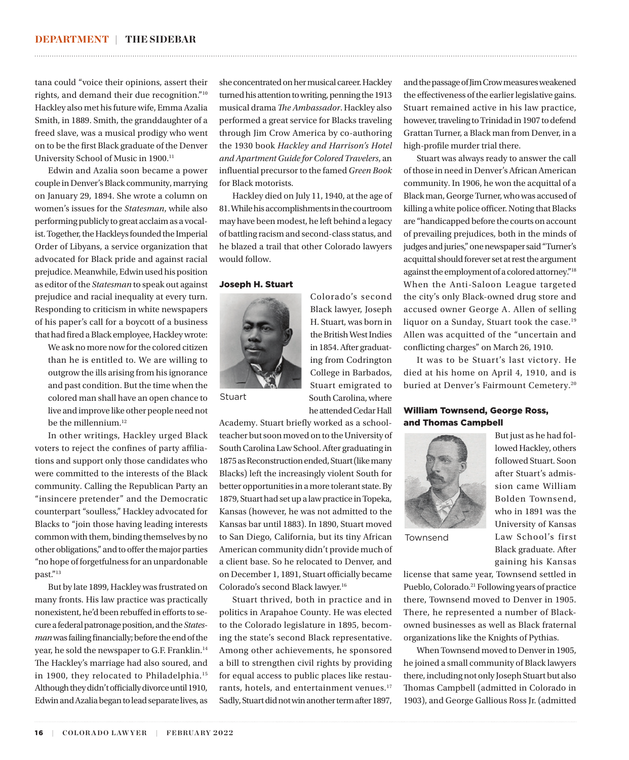tana could "voice their opinions, assert their rights, and demand their due recognition."10 Hackley also met his future wife, Emma Azalia Smith, in 1889. Smith, the granddaughter of a freed slave, was a musical prodigy who went on to be the first Black graduate of the Denver University School of Music in 1900.11

Edwin and Azalia soon became a power couple in Denver's Black community, marrying on January 29, 1894. She wrote a column on women's issues for the *Statesman*, while also performing publicly to great acclaim as a vocalist. Together, the Hackleys founded the Imperial Order of Libyans, a service organization that advocated for Black pride and against racial prejudice. Meanwhile, Edwin used his position as editor of the *Statesman* to speak out against prejudice and racial inequality at every turn. Responding to criticism in white newspapers of his paper's call for a boycott of a business that had fired a Black employee, Hackley wrote:

We ask no more now for the colored citizen than he is entitled to. We are willing to outgrow the ills arising from his ignorance and past condition. But the time when the colored man shall have an open chance to live and improve like other people need not be the millennium.<sup>12</sup>

In other writings, Hackley urged Black voters to reject the confines of party affiliations and support only those candidates who were committed to the interests of the Black community. Calling the Republican Party an "insincere pretender" and the Democratic counterpart "soulless," Hackley advocated for Blacks to "join those having leading interests common with them, binding themselves by no other obligations," and to offer the major parties "no hope of forgetfulness for an unpardonable past."13

But by late 1899, Hackley was frustrated on many fronts. His law practice was practically nonexistent, he'd been rebuffed in efforts to secure a federal patronage position, and the *Statesman* was failing financially; before the end of the year, he sold the newspaper to G.F. Franklin.14 The Hackley's marriage had also soured, and in 1900, they relocated to Philadelphia.15 Although they didn't officially divorce until 1910, Edwin and Azalia began to lead separate lives, as

she concentrated on her musical career. Hackley turned his attention to writing, penning the 1913 musical drama *The Ambassador*. Hackley also performed a great service for Blacks traveling through Jim Crow America by co-authoring the 1930 book *Hackley and Harrison's Hotel and Apartment Guide for Colored Travelers*, an influential precursor to the famed *Green Book*  for Black motorists.

Hackley died on July 11, 1940, at the age of 81. While his accomplishments in the courtroom may have been modest, he left behind a legacy of battling racism and second-class status, and he blazed a trail that other Colorado lawyers would follow.

## Joseph H. Stuart



**Stuart** 

Colorado's second Black lawyer, Joseph H. Stuart, was born in the British West Indies in 1854. After graduating from Codrington College in Barbados, Stuart emigrated to South Carolina, where he attended Cedar Hall

Academy. Stuart briefly worked as a schoolteacher but soon moved on to the University of South Carolina Law School. After graduating in 1875 as Reconstruction ended, Stuart (like many Blacks) left the increasingly violent South for better opportunities in a more tolerant state. By 1879, Stuart had set up a law practice in Topeka, Kansas (however, he was not admitted to the Kansas bar until 1883). In 1890, Stuart moved to San Diego, California, but its tiny African American community didn't provide much of a client base. So he relocated to Denver, and on December 1, 1891, Stuart officially became Colorado's second Black lawyer.16

Stuart thrived, both in practice and in politics in Arapahoe County. He was elected to the Colorado legislature in 1895, becoming the state's second Black representative. Among other achievements, he sponsored a bill to strengthen civil rights by providing for equal access to public places like restaurants, hotels, and entertainment venues.<sup>17</sup> Sadly, Stuart did not win another term after 1897, and the passage of Jim Crow measures weakened the effectiveness of the earlier legislative gains. Stuart remained active in his law practice, however, traveling to Trinidad in 1907 to defend Grattan Turner, a Black man from Denver, in a high-profile murder trial there.

Stuart was always ready to answer the call of those in need in Denver's African American community. In 1906, he won the acquittal of a Black man, George Turner, who was accused of killing a white police officer. Noting that Blacks are "handicapped before the courts on account of prevailing prejudices, both in the minds of judges and juries," one newspaper said "Turner's acquittal should forever set at rest the argument against the employment of a colored attorney."18 When the Anti-Saloon League targeted the city's only Black-owned drug store and accused owner George A. Allen of selling liquor on a Sunday, Stuart took the case.<sup>19</sup> Allen was acquitted of the "uncertain and conflicting charges" on March 26, 1910.

It was to be Stuart's last victory. He died at his home on April 4, 1910, and is buried at Denver's Fairmount Cemetery.<sup>20</sup>

## William Townsend, George Ross, and Thomas Campbell



Townsend

lowed Hackley, others followed Stuart. Soon after Stuart's admission came William Bolden Townsend, who in 1891 was the University of Kansas Law School's first Black graduate. After gaining his Kansas

But just as he had fol-

license that same year, Townsend settled in Pueblo, Colorado.<sup>21</sup> Following years of practice there, Townsend moved to Denver in 1905. There, he represented a number of Blackowned businesses as well as Black fraternal organizations like the Knights of Pythias.

When Townsend moved to Denver in 1905, he joined a small community of Black lawyers there, including not only Joseph Stuart but also Thomas Campbell (admitted in Colorado in 1903), and George Gallious Ross Jr. (admitted